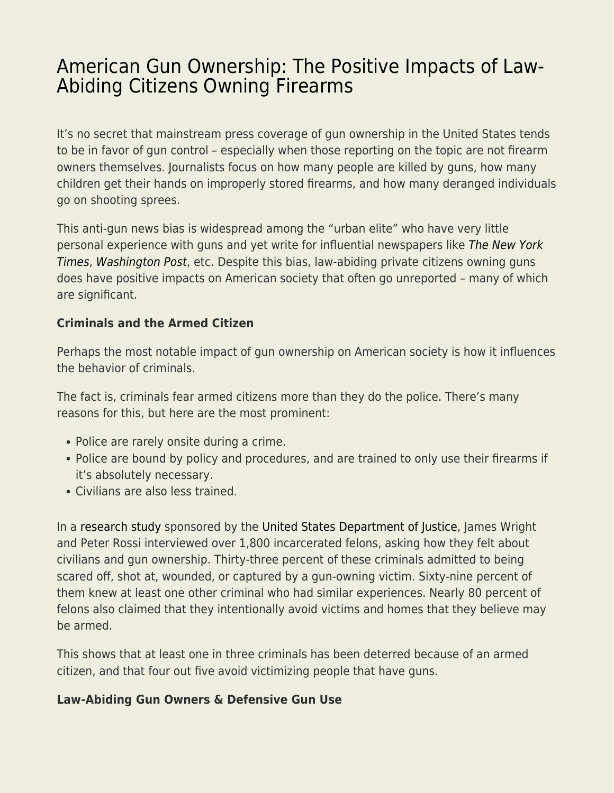## [American Gun Ownership: The Positive Impacts of Law-](https://everything-voluntary.com/american-gun-ownership-the-positive-impacts-of-law-abiding-citizens-owning-firearms)[Abiding Citizens Owning Firearms](https://everything-voluntary.com/american-gun-ownership-the-positive-impacts-of-law-abiding-citizens-owning-firearms)

It's no secret that mainstream press coverage of gun ownership in the United States tends to be in favor of gun control – especially when those reporting on the topic are not firearm owners themselves. Journalists focus on how many people are killed by guns, how many children get their hands on improperly stored firearms, and how many deranged individuals go on shooting sprees.

This anti-gun news bias is widespread among the "urban elite" who have very little personal experience with guns and yet write for influential newspapers like [The New York](https://www.nytimes.com/) [Times](https://www.nytimes.com/), [Washington Post](https://www.washingtonpost.com/), etc. Despite this bias, law-abiding private citizens owning guns does have positive impacts on American society that often go unreported – many of which are significant.

## **Criminals and the Armed Citizen**

Perhaps the most notable impact of gun ownership on American society is how it influences the behavior of criminals.

The fact is, criminals fear armed citizens more than they do the police. There's many reasons for this, but here are the most prominent:

- Police are rarely onsite during a crime.
- Police are bound by policy and procedures, and are trained to only use their firearms if it's absolutely necessary.
- Civilians are also less trained.

In a [research study](https://www.ncjrs.gov/App/Publications/abstract.aspx?ID=155885) sponsored by the [United States Department of Justice](https://www.justice.gov/), James Wright and Peter Rossi interviewed over 1,800 incarcerated felons, asking how they felt about civilians and gun ownership. Thirty-three percent of these criminals admitted to being scared off, shot at, wounded, or captured by a gun-owning victim. Sixty-nine percent of them knew at least one other criminal who had similar experiences. Nearly 80 percent of felons also claimed that they intentionally avoid victims and homes that they believe may be armed.

This shows that at least one in three criminals has been deterred because of an armed citizen, and that four out five avoid victimizing people that have guns.

## **Law-Abiding Gun Owners & Defensive Gun Use**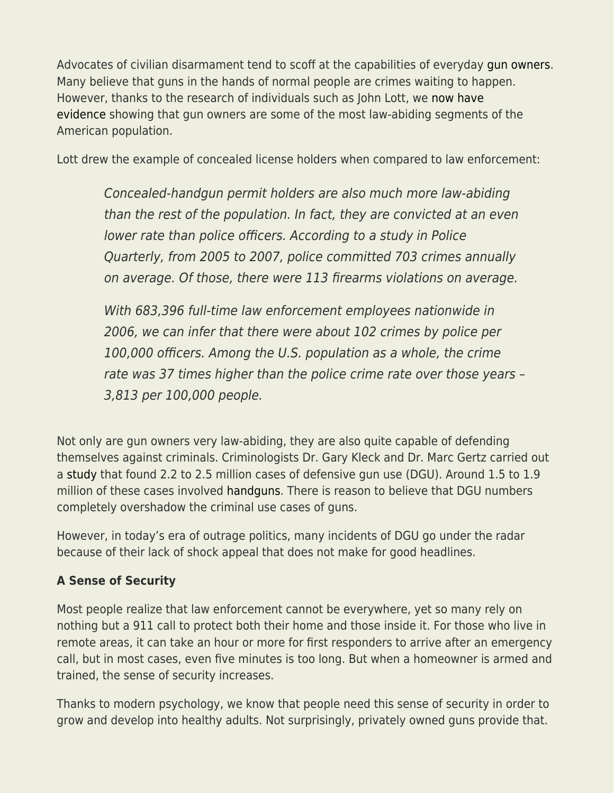Advocates of civilian disarmament tend to scoff at the capabilities of everyday [gun owners.](https://ammo.com/articles/citizens-owning-guns-quotes) Many believe that guns in the hands of normal people are crimes waiting to happen. However, thanks to the research of individuals such as John Lott, we [now have](https://dailycaller.com/2016/08/10/report-concealed-carry-permit-holders-are-more-law-abiding-than-police/) [evidence](https://dailycaller.com/2016/08/10/report-concealed-carry-permit-holders-are-more-law-abiding-than-police/) showing that gun owners are some of the most law-abiding segments of the American population.

Lott drew the example of concealed license holders when compared to law enforcement:

Concealed-handgun permit holders are also much more law-abiding than the rest of the population. In fact, they are convicted at an even lower rate than police officers. According to a study in Police Quarterly, from 2005 to 2007, police committed 703 crimes annually on average. Of those, there were 113 firearms violations on average.

With 683,396 full-time law enforcement employees nationwide in 2006, we can infer that there were about 102 crimes by police per 100,000 officers. Among the U.S. population as a whole, the crime rate was 37 times higher than the police crime rate over those years – 3,813 per 100,000 people.

Not only are gun owners very law-abiding, they are also quite capable of defending themselves against criminals. Criminologists Dr. Gary Kleck and Dr. Marc Gertz carried out a [study](https://scholarlycommons.law.northwestern.edu/cgi/viewcontent.cgi?article=6853&context=jclc) that found 2.2 to 2.5 million cases of defensive gun use (DGU). Around 1.5 to 1.9 million of these cases involved [handguns.](https://ammo.com/articles/handgun-wounding-factors-guide) There is reason to believe that DGU numbers completely overshadow the criminal use cases of guns.

However, in today's era of outrage politics, many incidents of DGU go under the radar because of their lack of shock appeal that does not make for good headlines.

## **A Sense of Security**

Most people realize that law enforcement cannot be everywhere, yet so many rely on nothing but a 911 call to protect both their home and those inside it. For those who live in remote areas, it can take an hour or more for first responders to arrive after an emergency call, but in most cases, even five minutes is too long. But when a homeowner is armed and trained, the sense of security increases.

Thanks to modern psychology, we know that people need this sense of security in order to grow and develop into healthy adults. Not surprisingly, privately owned guns provide that.